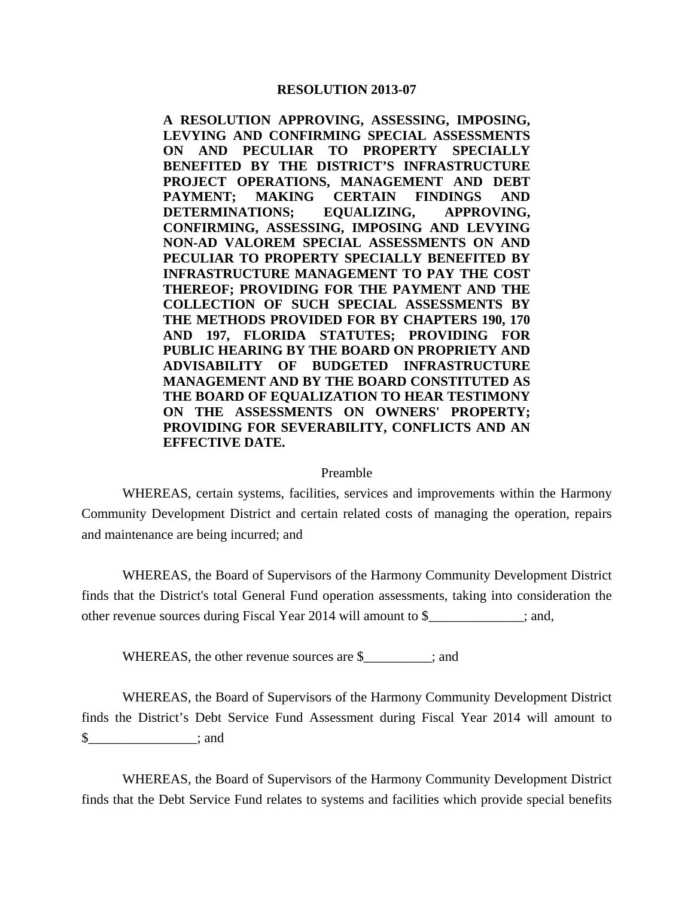## **RESOLUTION 2013-07**

**A RESOLUTION APPROVING, ASSESSING, IMPOSING, LEVYING AND CONFIRMING SPECIAL ASSESSMENTS ON AND PECULIAR TO PROPERTY SPECIALLY BENEFITED BY THE DISTRICT'S INFRASTRUCTURE PROJECT OPERATIONS, MANAGEMENT AND DEBT PAYMENT; MAKING CERTAIN FINDINGS AND DETERMINATIONS; EQUALIZING, APPROVING, CONFIRMING, ASSESSING, IMPOSING AND LEVYING NON-AD VALOREM SPECIAL ASSESSMENTS ON AND PECULIAR TO PROPERTY SPECIALLY BENEFITED BY INFRASTRUCTURE MANAGEMENT TO PAY THE COST THEREOF; PROVIDING FOR THE PAYMENT AND THE COLLECTION OF SUCH SPECIAL ASSESSMENTS BY THE METHODS PROVIDED FOR BY CHAPTERS 190, 170 AND 197, FLORIDA STATUTES; PROVIDING FOR PUBLIC HEARING BY THE BOARD ON PROPRIETY AND ADVISABILITY OF BUDGETED INFRASTRUCTURE MANAGEMENT AND BY THE BOARD CONSTITUTED AS THE BOARD OF EQUALIZATION TO HEAR TESTIMONY ON THE ASSESSMENTS ON OWNERS' PROPERTY; PROVIDING FOR SEVERABILITY, CONFLICTS AND AN EFFECTIVE DATE.** 

## Preamble

 WHEREAS, certain systems, facilities, services and improvements within the Harmony Community Development District and certain related costs of managing the operation, repairs and maintenance are being incurred; and

 WHEREAS, the Board of Supervisors of the Harmony Community Development District finds that the District's total General Fund operation assessments, taking into consideration the other revenue sources during Fiscal Year 2014 will amount to \$\_\_\_\_\_\_\_\_\_\_\_\_\_\_; and,

WHEREAS, the other revenue sources are \$  $\cdot$  ; and

 WHEREAS, the Board of Supervisors of the Harmony Community Development District finds the District's Debt Service Fund Assessment during Fiscal Year 2014 will amount to  $\text{\$}$  ; and

 WHEREAS, the Board of Supervisors of the Harmony Community Development District finds that the Debt Service Fund relates to systems and facilities which provide special benefits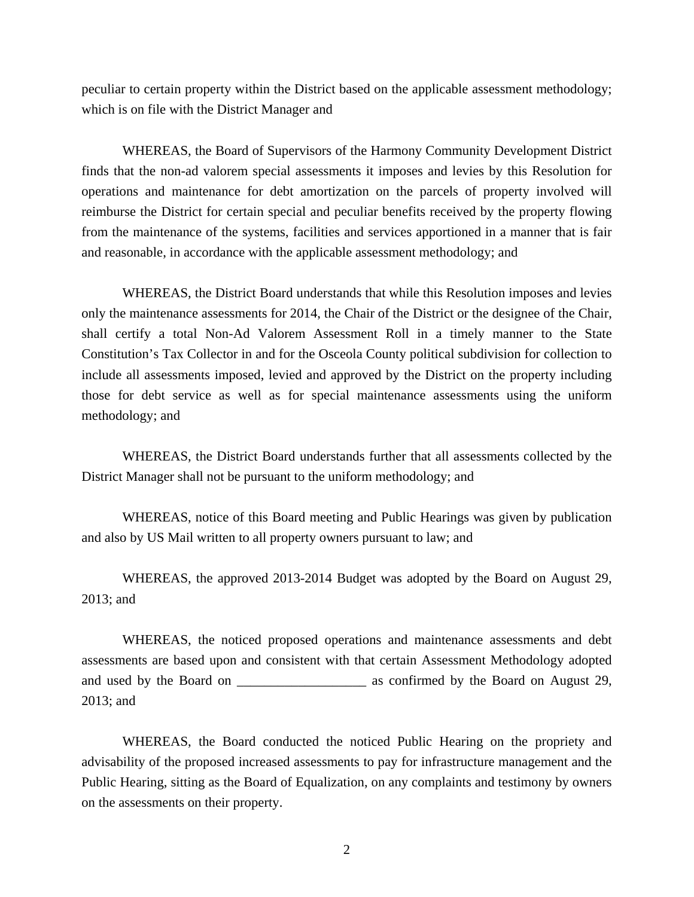peculiar to certain property within the District based on the applicable assessment methodology; which is on file with the District Manager and

 WHEREAS, the Board of Supervisors of the Harmony Community Development District finds that the non-ad valorem special assessments it imposes and levies by this Resolution for operations and maintenance for debt amortization on the parcels of property involved will reimburse the District for certain special and peculiar benefits received by the property flowing from the maintenance of the systems, facilities and services apportioned in a manner that is fair and reasonable, in accordance with the applicable assessment methodology; and

 WHEREAS, the District Board understands that while this Resolution imposes and levies only the maintenance assessments for 2014, the Chair of the District or the designee of the Chair, shall certify a total Non-Ad Valorem Assessment Roll in a timely manner to the State Constitution's Tax Collector in and for the Osceola County political subdivision for collection to include all assessments imposed, levied and approved by the District on the property including those for debt service as well as for special maintenance assessments using the uniform methodology; and

 WHEREAS, the District Board understands further that all assessments collected by the District Manager shall not be pursuant to the uniform methodology; and

 WHEREAS, notice of this Board meeting and Public Hearings was given by publication and also by US Mail written to all property owners pursuant to law; and

 WHEREAS, the approved 2013-2014 Budget was adopted by the Board on August 29, 2013; and

 WHEREAS, the noticed proposed operations and maintenance assessments and debt assessments are based upon and consistent with that certain Assessment Methodology adopted and used by the Board on \_\_\_\_\_\_\_\_\_\_\_\_\_\_\_\_\_\_\_\_\_\_\_\_\_ as confirmed by the Board on August 29, 2013; and

 WHEREAS, the Board conducted the noticed Public Hearing on the propriety and advisability of the proposed increased assessments to pay for infrastructure management and the Public Hearing, sitting as the Board of Equalization, on any complaints and testimony by owners on the assessments on their property.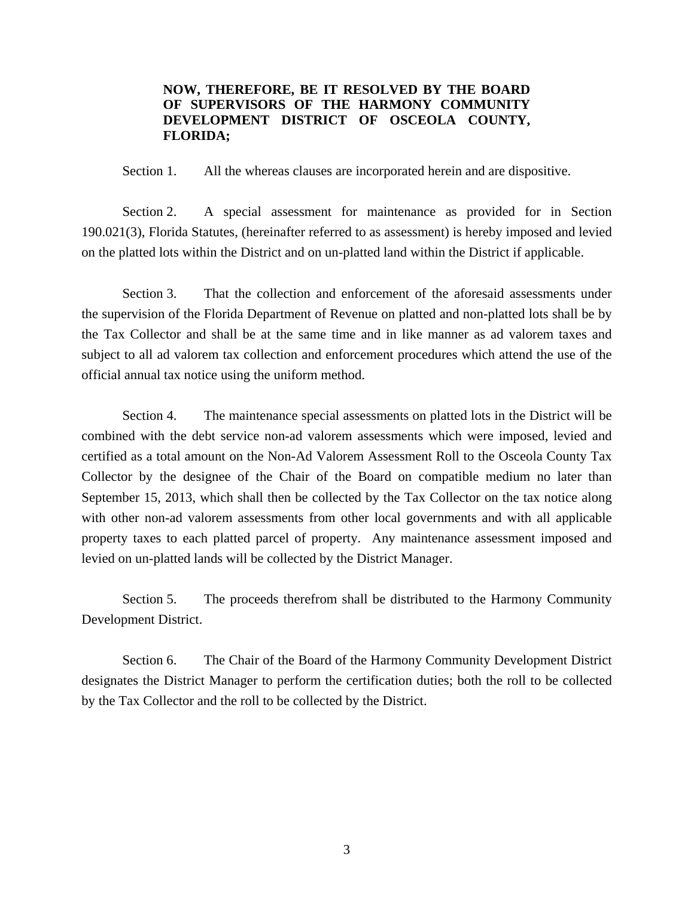## **NOW, THEREFORE, BE IT RESOLVED BY THE BOARD OF SUPERVISORS OF THE HARMONY COMMUNITY DEVELOPMENT DISTRICT OF OSCEOLA COUNTY, FLORIDA;**

Section 1. All the whereas clauses are incorporated herein and are dispositive.

 Section 2. A special assessment for maintenance as provided for in Section 190.021(3), Florida Statutes, (hereinafter referred to as assessment) is hereby imposed and levied on the platted lots within the District and on un-platted land within the District if applicable.

 Section 3. That the collection and enforcement of the aforesaid assessments under the supervision of the Florida Department of Revenue on platted and non-platted lots shall be by the Tax Collector and shall be at the same time and in like manner as ad valorem taxes and subject to all ad valorem tax collection and enforcement procedures which attend the use of the official annual tax notice using the uniform method.

 Section 4. The maintenance special assessments on platted lots in the District will be combined with the debt service non-ad valorem assessments which were imposed, levied and certified as a total amount on the Non-Ad Valorem Assessment Roll to the Osceola County Tax Collector by the designee of the Chair of the Board on compatible medium no later than September 15, 2013, which shall then be collected by the Tax Collector on the tax notice along with other non-ad valorem assessments from other local governments and with all applicable property taxes to each platted parcel of property. Any maintenance assessment imposed and levied on un-platted lands will be collected by the District Manager.

 Section 5. The proceeds therefrom shall be distributed to the Harmony Community Development District.

 Section 6. The Chair of the Board of the Harmony Community Development District designates the District Manager to perform the certification duties; both the roll to be collected by the Tax Collector and the roll to be collected by the District.